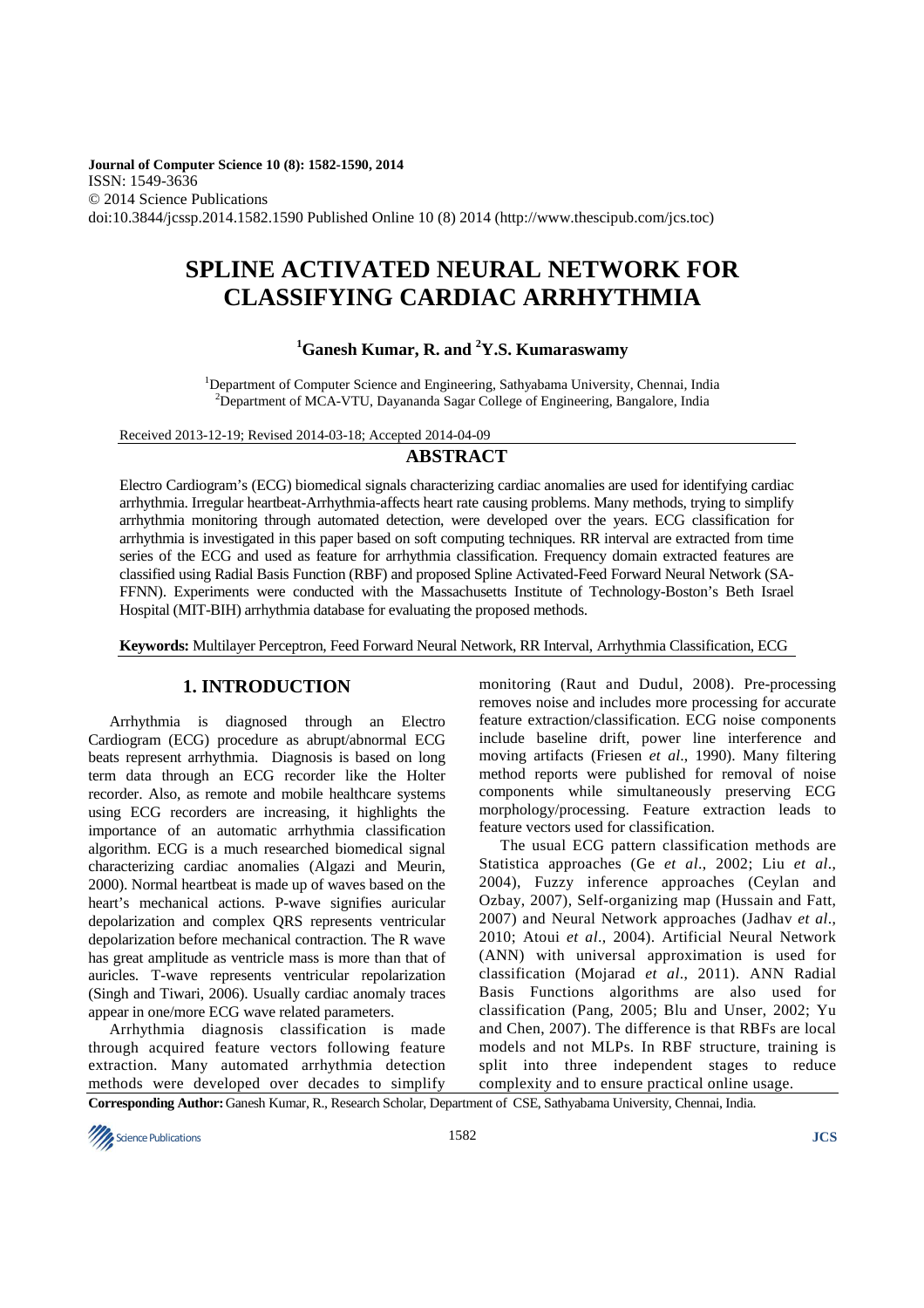**Journal of Computer Science 10 (8): 1582-1590, 2014** ISSN: 1549-3636 © 2014 Science Publications doi:10.3844/jcssp.2014.1582.1590 Published Online 10 (8) 2014 (http://www.thescipub.com/jcs.toc)

# **SPLINE ACTIVATED NEURAL NETWORK FOR CLASSIFYING CARDIAC ARRHYTHMIA**

# **<sup>1</sup>Ganesh Kumar, R. and <sup>2</sup>Y.S. Kumaraswamy**

<sup>1</sup>Department of Computer Science and Engineering, Sathyabama University, Chennai, India <sup>2</sup>Department of MCA-VTU, Dayananda Sagar College of Engineering, Bangalore, India

Received 2013-12-19; Revised 2014-03-18; Accepted 2014-04-09

# **ABSTRACT**

Electro Cardiogram's (ECG) biomedical signals characterizing cardiac anomalies are used for identifying cardiac arrhythmia. Irregular heartbeat-Arrhythmia-affects heart rate causing problems. Many methods, trying to simplify arrhythmia monitoring through automated detection, were developed over the years. ECG classification for arrhythmia is investigated in this paper based on soft computing techniques. RR interval are extracted from time series of the ECG and used as feature for arrhythmia classification. Frequency domain extracted features are classified using Radial Basis Function (RBF) and proposed Spline Activated-Feed Forward Neural Network (SA-FFNN). Experiments were conducted with the Massachusetts Institute of Technology-Boston's Beth Israel Hospital (MIT-BIH) arrhythmia database for evaluating the proposed methods.

**Keywords:** Multilayer Perceptron, Feed Forward Neural Network, RR Interval, Arrhythmia Classification, ECG

# **1. INTRODUCTION**

Arrhythmia is diagnosed through an Electro Cardiogram (ECG) procedure as abrupt/abnormal ECG beats represent arrhythmia. Diagnosis is based on long term data through an ECG recorder like the Holter recorder. Also, as remote and mobile healthcare systems using ECG recorders are increasing, it highlights the importance of an automatic arrhythmia classification algorithm. ECG is a much researched biomedical signal characterizing cardiac anomalies (Algazi and Meurin, 2000). Normal heartbeat is made up of waves based on the heart's mechanical actions. P-wave signifies auricular depolarization and complex QRS represents ventricular depolarization before mechanical contraction. The R wave has great amplitude as ventricle mass is more than that of auricles. T-wave represents ventricular repolarization (Singh and Tiwari, 2006). Usually cardiac anomaly traces appear in one/more ECG wave related parameters.

Arrhythmia diagnosis classification is made through acquired feature vectors following feature extraction. Many automated arrhythmia detection methods were developed over decades to simplify

monitoring (Raut and Dudul, 2008). Pre-processing removes noise and includes more processing for accurate feature extraction/classification. ECG noise components include baseline drift, power line interference and moving artifacts (Friesen *et al*., 1990). Many filtering method reports were published for removal of noise components while simultaneously preserving ECG morphology/processing. Feature extraction leads to feature vectors used for classification.

The usual ECG pattern classification methods are Statistica approaches (Ge *et al*., 2002; Liu *et al*., 2004), Fuzzy inference approaches (Ceylan and Ozbay, 2007), Self-organizing map (Hussain and Fatt, 2007) and Neural Network approaches (Jadhav *et al*., 2010; Atoui *et al*., 2004). Artificial Neural Network (ANN) with universal approximation is used for classification (Mojarad *et al*., 2011). ANN Radial Basis Functions algorithms are also used for classification (Pang, 2005; Blu and Unser, 2002; Yu and Chen, 2007). The difference is that RBFs are local models and not MLPs. In RBF structure, training is split into three independent stages to reduce complexity and to ensure practical online usage.

**Corresponding Author:**Ganesh Kumar, R., Research Scholar, Department of CSE, Sathyabama University, Chennai, India.

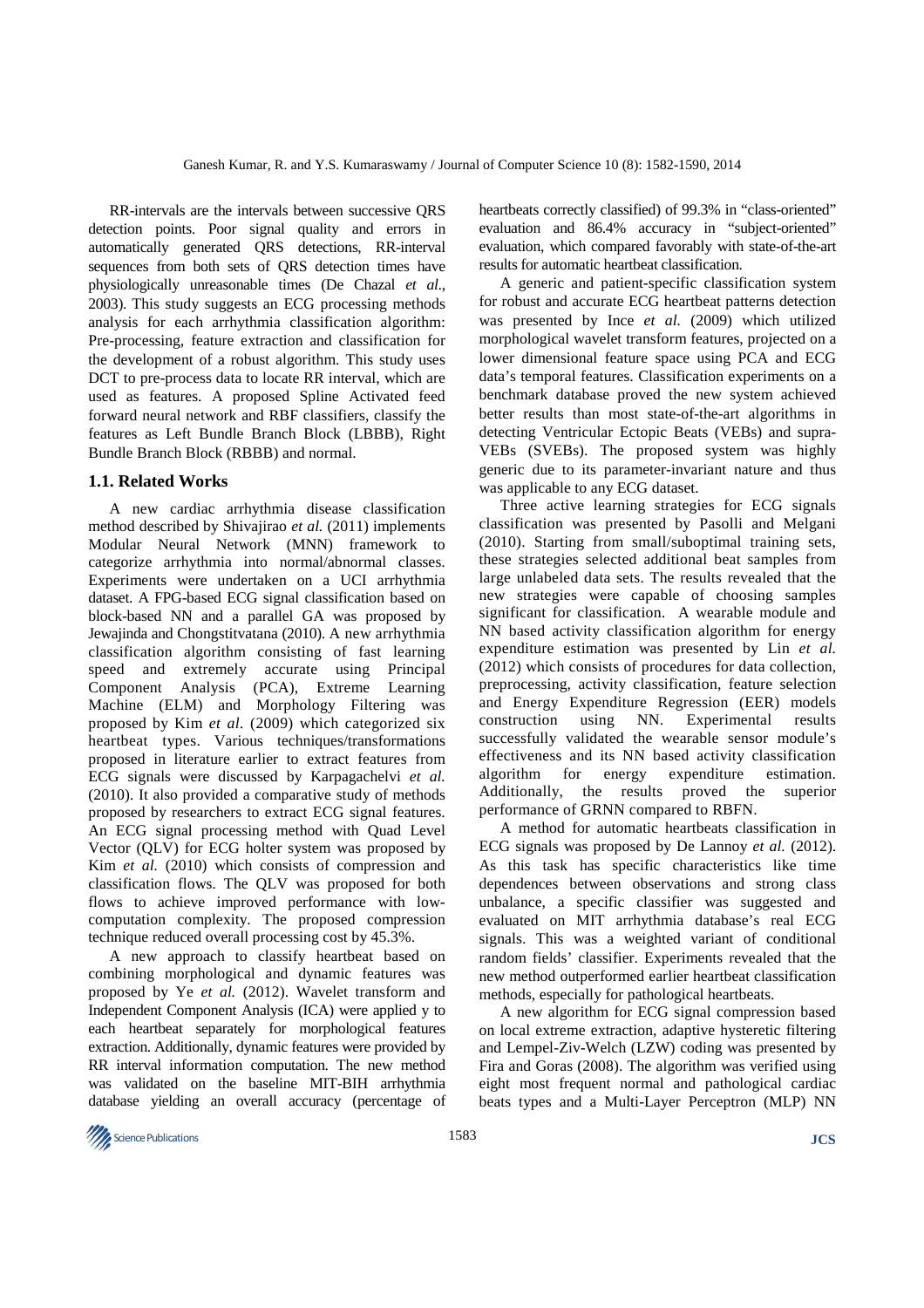RR-intervals are the intervals between successive QRS detection points. Poor signal quality and errors in automatically generated QRS detections, RR-interval sequences from both sets of QRS detection times have physiologically unreasonable times (De Chazal *et al*., 2003). This study suggests an ECG processing methods analysis for each arrhythmia classification algorithm: Pre-processing, feature extraction and classification for the development of a robust algorithm. This study uses DCT to pre-process data to locate RR interval, which are used as features. A proposed Spline Activated feed forward neural network and RBF classifiers, classify the features as Left Bundle Branch Block (LBBB), Right Bundle Branch Block (RBBB) and normal.

#### **1.1. Related Works**

A new cardiac arrhythmia disease classification method described by Shivajirao *et al.* (2011) implements Modular Neural Network (MNN) framework to categorize arrhythmia into normal/abnormal classes. Experiments were undertaken on a UCI arrhythmia dataset. A FPG-based ECG signal classification based on block-based NN and a parallel GA was proposed by Jewajinda and Chongstitvatana (2010). A new arrhythmia classification algorithm consisting of fast learning speed and extremely accurate using Principal Component Analysis (PCA), Extreme Learning Machine (ELM) and Morphology Filtering was proposed by Kim *et al.* (2009) which categorized six heartbeat types. Various techniques/transformations proposed in literature earlier to extract features from ECG signals were discussed by Karpagachelvi *et al.* (2010). It also provided a comparative study of methods proposed by researchers to extract ECG signal features. An ECG signal processing method with Quad Level Vector (QLV) for ECG holter system was proposed by Kim *et al.* (2010) which consists of compression and classification flows. The QLV was proposed for both flows to achieve improved performance with lowcomputation complexity. The proposed compression technique reduced overall processing cost by 45.3%.

A new approach to classify heartbeat based on combining morphological and dynamic features was proposed by Ye *et al.* (2012). Wavelet transform and Independent Component Analysis (ICA) were applied y to each heartbeat separately for morphological features extraction. Additionally, dynamic features were provided by RR interval information computation. The new method was validated on the baseline MIT-BIH arrhythmia database yielding an overall accuracy (percentage of heartbeats correctly classified) of 99.3% in "class-oriented" evaluation and 86.4% accuracy in "subject-oriented" evaluation, which compared favorably with state-of-the-art results for automatic heartbeat classification.

A generic and patient-specific classification system for robust and accurate ECG heartbeat patterns detection was presented by Ince *et al.* (2009) which utilized morphological wavelet transform features, projected on a lower dimensional feature space using PCA and ECG data's temporal features. Classification experiments on a benchmark database proved the new system achieved better results than most state-of-the-art algorithms in detecting Ventricular Ectopic Beats (VEBs) and supra-VEBs (SVEBs). The proposed system was highly generic due to its parameter-invariant nature and thus was applicable to any ECG dataset.

Three active learning strategies for ECG signals classification was presented by Pasolli and Melgani (2010). Starting from small/suboptimal training sets, these strategies selected additional beat samples from large unlabeled data sets. The results revealed that the new strategies were capable of choosing samples significant for classification. A wearable module and NN based activity classification algorithm for energy expenditure estimation was presented by Lin *et al.* (2012) which consists of procedures for data collection, preprocessing, activity classification, feature selection and Energy Expenditure Regression (EER) models construction using NN. Experimental results successfully validated the wearable sensor module's effectiveness and its NN based activity classification algorithm for energy expenditure estimation. Additionally, the results proved the superior performance of GRNN compared to RBFN.

A method for automatic heartbeats classification in ECG signals was proposed by De Lannoy *et al.* (2012). As this task has specific characteristics like time dependences between observations and strong class unbalance, a specific classifier was suggested and evaluated on MIT arrhythmia database's real ECG signals. This was a weighted variant of conditional random fields' classifier. Experiments revealed that the new method outperformed earlier heartbeat classification methods, especially for pathological heartbeats.

A new algorithm for ECG signal compression based on local extreme extraction, adaptive hysteretic filtering and Lempel-Ziv-Welch (LZW) coding was presented by Fira and Goras (2008). The algorithm was verified using eight most frequent normal and pathological cardiac beats types and a Multi-Layer Perceptron (MLP) NN

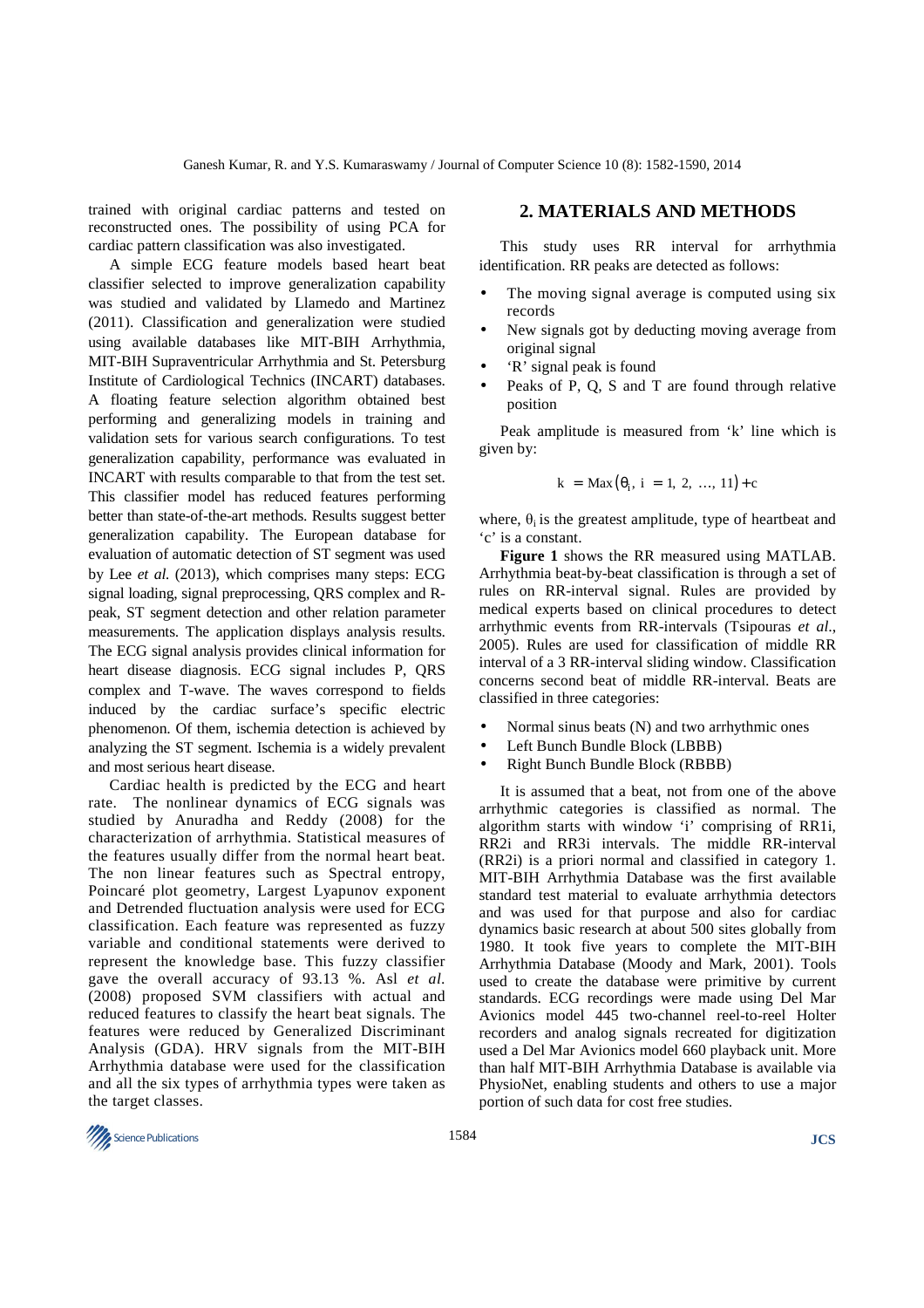trained with original cardiac patterns and tested on reconstructed ones. The possibility of using PCA for cardiac pattern classification was also investigated.

A simple ECG feature models based heart beat classifier selected to improve generalization capability was studied and validated by Llamedo and Martinez (2011). Classification and generalization were studied using available databases like MIT-BIH Arrhythmia, MIT-BIH Supraventricular Arrhythmia and St. Petersburg Institute of Cardiological Technics (INCART) databases. A floating feature selection algorithm obtained best performing and generalizing models in training and validation sets for various search configurations. To test generalization capability, performance was evaluated in INCART with results comparable to that from the test set. This classifier model has reduced features performing better than state-of-the-art methods. Results suggest better generalization capability. The European database for evaluation of automatic detection of ST segment was used by Lee *et al.* (2013), which comprises many steps: ECG signal loading, signal preprocessing, QRS complex and Rpeak, ST segment detection and other relation parameter measurements. The application displays analysis results. The ECG signal analysis provides clinical information for heart disease diagnosis. ECG signal includes P, QRS complex and T-wave. The waves correspond to fields induced by the cardiac surface's specific electric phenomenon. Of them, ischemia detection is achieved by analyzing the ST segment. Ischemia is a widely prevalent and most serious heart disease.

Cardiac health is predicted by the ECG and heart rate. The nonlinear dynamics of ECG signals was studied by Anuradha and Reddy (2008) for the characterization of arrhythmia. Statistical measures of the features usually differ from the normal heart beat. The non linear features such as Spectral entropy, Poincaré plot geometry, Largest Lyapunov exponent and Detrended fluctuation analysis were used for ECG classification. Each feature was represented as fuzzy variable and conditional statements were derived to represent the knowledge base. This fuzzy classifier gave the overall accuracy of 93.13 %. Asl *et al*. (2008) proposed SVM classifiers with actual and reduced features to classify the heart beat signals. The features were reduced by Generalized Discriminant Analysis (GDA). HRV signals from the MIT-BIH Arrhythmia database were used for the classification and all the six types of arrhythmia types were taken as the target classes.

# **2. MATERIALS AND METHODS**

This study uses RR interval for arrhythmia identification. RR peaks are detected as follows:

- The moving signal average is computed using six records
- New signals got by deducting moving average from original signal
- 'R' signal peak is found
- Peaks of P, Q, S and T are found through relative position

Peak amplitude is measured from 'k' line which is given by:

$$
k = Max(\theta_i, i = 1, 2, ..., 11) + c
$$

where,  $\theta_i$  is the greatest amplitude, type of heartbeat and 'c' is a constant.

**Figure 1** shows the RR measured using MATLAB. Arrhythmia beat-by-beat classification is through a set of rules on RR-interval signal. Rules are provided by medical experts based on clinical procedures to detect arrhythmic events from RR-intervals (Tsipouras *et al*., 2005). Rules are used for classification of middle RR interval of a 3 RR-interval sliding window. Classification concerns second beat of middle RR-interval. Beats are classified in three categories:

- Normal sinus beats (N) and two arrhythmic ones
- Left Bunch Bundle Block (LBBB)
- Right Bunch Bundle Block (RBBB)

It is assumed that a beat, not from one of the above arrhythmic categories is classified as normal. The algorithm starts with window 'i' comprising of RR1i, RR2i and RR3i intervals. The middle RR-interval (RR2i) is a priori normal and classified in category 1. MIT-BIH Arrhythmia Database was the first available standard test material to evaluate arrhythmia detectors and was used for that purpose and also for cardiac dynamics basic research at about 500 sites globally from 1980. It took five years to complete the MIT-BIH Arrhythmia Database (Moody and Mark, 2001). Tools used to create the database were primitive by current standards. ECG recordings were made using Del Mar Avionics model 445 two-channel reel-to-reel Holter recorders and analog signals recreated for digitization used a Del Mar Avionics model 660 playback unit. More than half MIT-BIH Arrhythmia Database is available via PhysioNet, enabling students and others to use a major portion of such data for cost free studies.

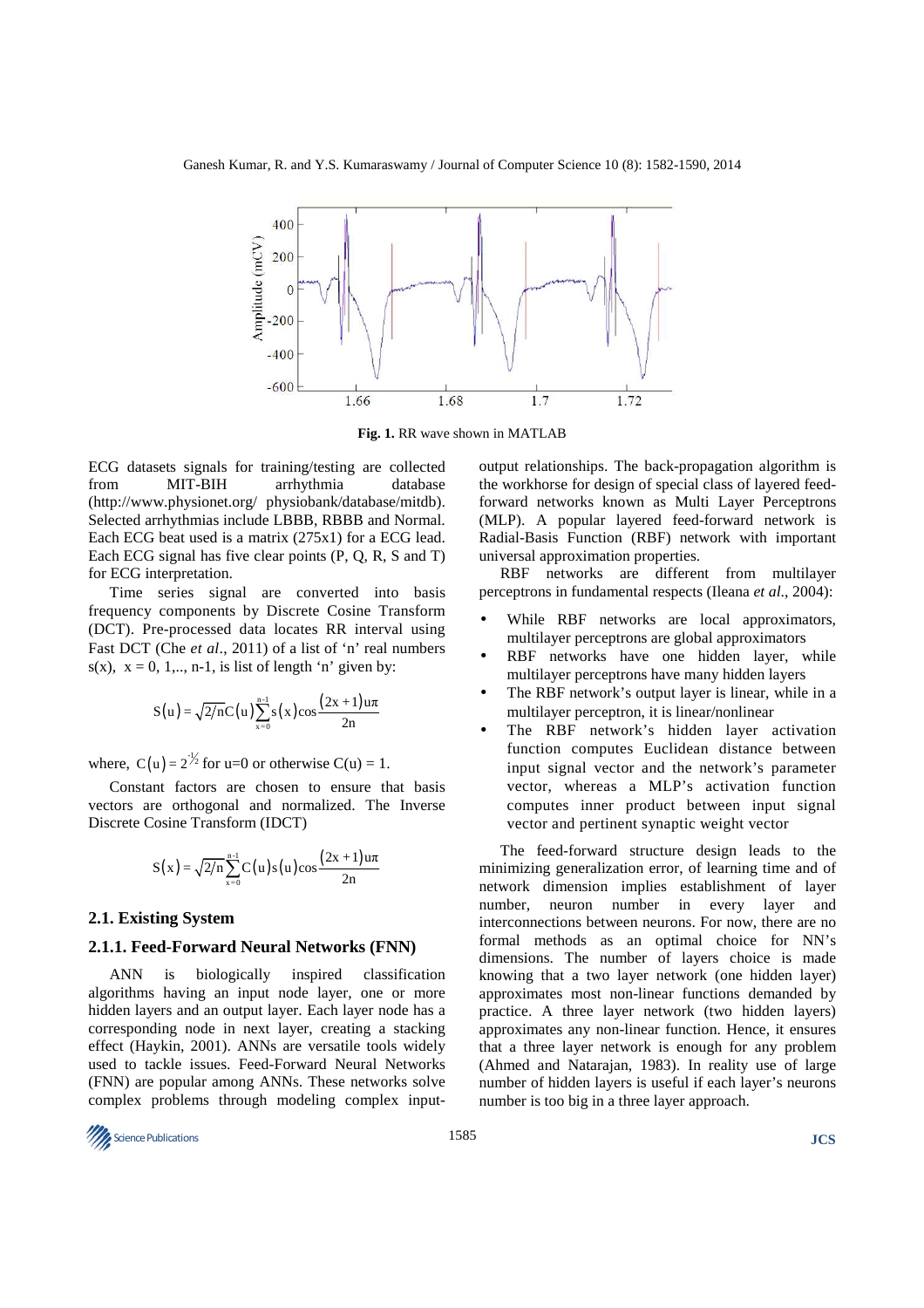

**Fig. 1.** RR wave shown in MATLAB

ECG datasets signals for training/testing are collected from MIT-BIH arrhythmia database (http://www.physionet.org/ physiobank/database/mitdb). Selected arrhythmias include LBBB, RBBB and Normal. Each ECG beat used is a matrix (275x1) for a ECG lead. Each ECG signal has five clear points (P, Q, R, S and T) for ECG interpretation.

Time series signal are converted into basis frequency components by Discrete Cosine Transform (DCT). Pre-processed data locates RR interval using Fast DCT (Che *et al*., 2011) of a list of 'n' real numbers s(x),  $x = 0, 1, \ldots, n-1$ , is list of length 'n' given by:

$$
S(u) = \sqrt{2/n}C(u)\sum_{x=0}^{n-1} s(x)\cos\frac{(2x+1)u\pi}{2n}
$$

where,  $C(u) = 2^{\frac{1}{2}}$  for u=0 or otherwise  $C(u) = 1$ .

Constant factors are chosen to ensure that basis vectors are orthogonal and normalized. The Inverse Discrete Cosine Transform (IDCT)

$$
S(x) = \sqrt{2/n} \sum_{x=0}^{n-1} C(u) s(u) \cos \frac{(2x+1) u \pi}{2n}
$$

#### **2.1. Existing System**

#### **2.1.1. Feed-Forward Neural Networks (FNN)**

ANN is biologically inspired classification algorithms having an input node layer, one or more hidden layers and an output layer. Each layer node has a corresponding node in next layer, creating a stacking effect (Haykin, 2001). ANNs are versatile tools widely used to tackle issues. Feed-Forward Neural Networks (FNN) are popular among ANNs. These networks solve complex problems through modeling complex inputoutput relationships. The back-propagation algorithm is the workhorse for design of special class of layered feedforward networks known as Multi Layer Perceptrons (MLP). A popular layered feed-forward network is Radial-Basis Function (RBF) network with important universal approximation properties.

RBF networks are different from multilayer perceptrons in fundamental respects (Ileana *et al*., 2004):

- While RBF networks are local approximators, multilayer perceptrons are global approximators
- RBF networks have one hidden layer, while multilayer perceptrons have many hidden layers
- The RBF network's output layer is linear, while in a multilayer perceptron, it is linear/nonlinear
- The RBF network's hidden layer activation function computes Euclidean distance between input signal vector and the network's parameter vector, whereas a MLP's activation function computes inner product between input signal vector and pertinent synaptic weight vector

The feed-forward structure design leads to the minimizing generalization error, of learning time and of network dimension implies establishment of layer number, neuron number in every layer and interconnections between neurons. For now, there are no formal methods as an optimal choice for NN's dimensions. The number of layers choice is made knowing that a two layer network (one hidden layer) approximates most non-linear functions demanded by practice. A three layer network (two hidden layers) approximates any non-linear function. Hence, it ensures that a three layer network is enough for any problem (Ahmed and Natarajan, 1983). In reality use of large number of hidden layers is useful if each layer's neurons number is too big in a three layer approach.

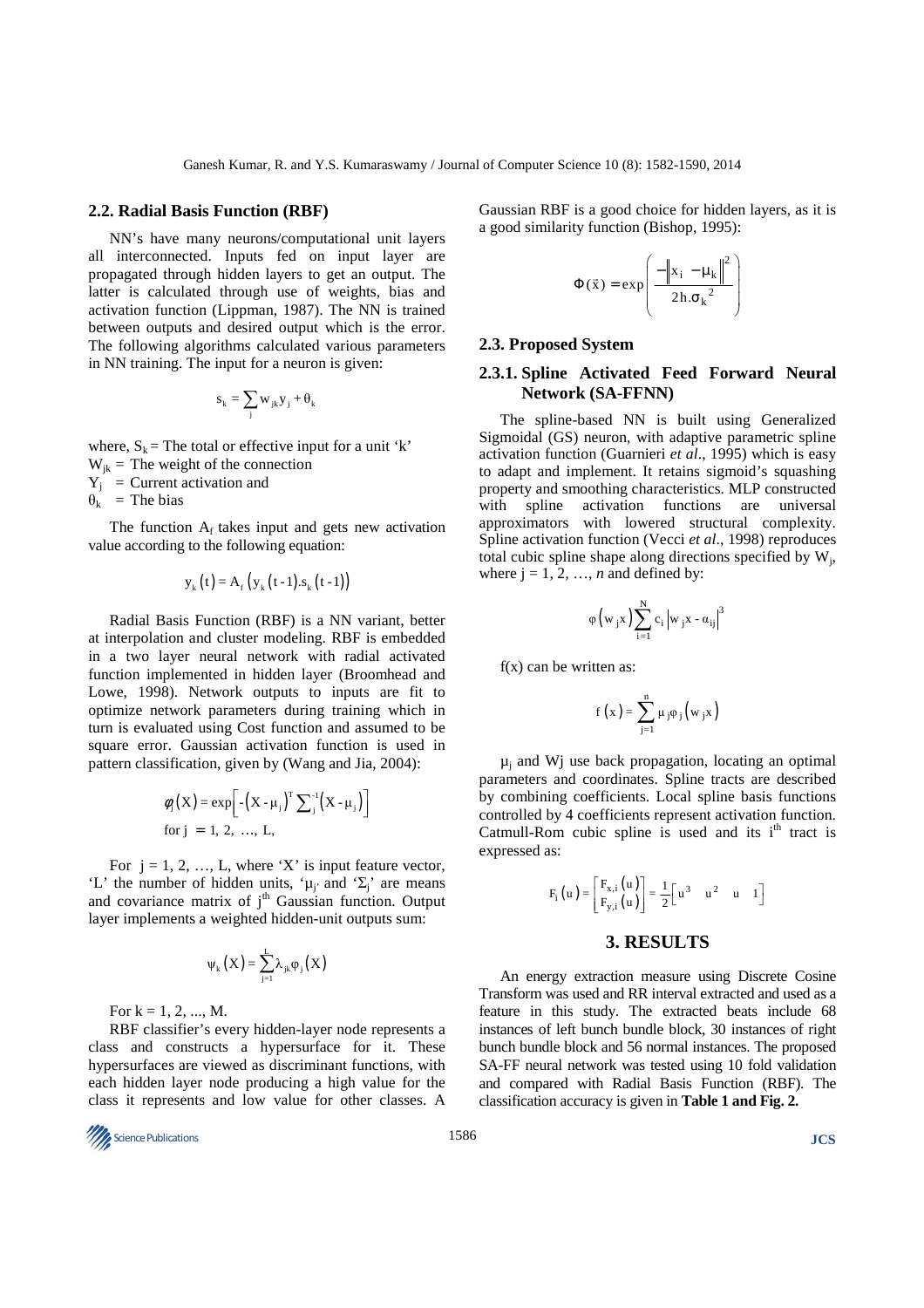#### **2.2. Radial Basis Function (RBF)**

NN's have many neurons/computational unit layers all interconnected. Inputs fed on input layer are propagated through hidden layers to get an output. The latter is calculated through use of weights, bias and activation function (Lippman, 1987). The NN is trained between outputs and desired output which is the error. The following algorithms calculated various parameters in NN training. The input for a neuron is given:

$$
s_{_k}=\sum_{j}w_{\,jk}y_{\,j}+\theta_{_k}
$$

where,  $S_k$  = The total or effective input for a unit 'k'  $W_{ik}$  = The weight of the connection  $Y_i$  = Current activation and  $\theta_k$  = The bias

The function  $A_f$  takes input and gets new activation value according to the following equation:

$$
y_k(t) = A_f(y_k(t-1).s_k(t-1))
$$

Radial Basis Function (RBF) is a NN variant, better at interpolation and cluster modeling. RBF is embedded in a two layer neural network with radial activated function implemented in hidden layer (Broomhead and Lowe, 1998). Network outputs to inputs are fit to optimize network parameters during training which in turn is evaluated using Cost function and assumed to be square error. Gaussian activation function is used in pattern classification, given by (Wang and Jia, 2004):

$$
\phi_j(X) = \exp \left[ - (X - \mu_j)^T \sum_j^{-1} (X - \mu_j) \right]
$$
  
for j = 1, 2, ..., L,

For  $j = 1, 2, ..., L$ , where 'X' is input feature vector, 'L' the number of hidden units, ' $\mu_i$ ' and ' $\Sigma_i$ ' are means and covariance matrix of  $j<sup>th</sup>$  Gaussian function. Output layer implements a weighted hidden-unit outputs sum:

$$
\psi_{k}\left(X\right)=\sum_{j=1}^{L}\lambda_{jk}\phi_{j}\left(X\right)
$$

For  $k = 1, 2, ..., M$ .

RBF classifier's every hidden-layer node represents a class and constructs a hypersurface for it. These hypersurfaces are viewed as discriminant functions, with each hidden layer node producing a high value for the class it represents and low value for other classes. A



Gaussian RBF is a good choice for hidden layers, as it is a good similarity function (Bishop, 1995):

$$
\Phi(\vec{x}) = \exp\left(\frac{-\left\|x_i - \mu_k\right\|^2}{2h \cdot \sigma_k^2}\right)
$$

#### **2.3. Proposed System**

## **2.3.1. Spline Activated Feed Forward Neural Network (SA-FFNN)**

The spline-based NN is built using Generalized Sigmoidal (GS) neuron, with adaptive parametric spline activation function (Guarnieri *et al*., 1995) which is easy to adapt and implement. It retains sigmoid's squashing property and smoothing characteristics. MLP constructed with spline activation functions are universal approximators with lowered structural complexity. Spline activation function (Vecci *et al*., 1998) reproduces total cubic spline shape along directions specified by  $W_j$ , where  $j = 1, 2, ..., n$  and defined by:

$$
\phi\!\left(w_{j}x\right)\!\sum_{i=1}^{N}c_{i}\!\left|w_{j}x\cdot\alpha_{ij}\right|^{3}
$$

 $f(x)$  can be written as:

$$
f\left(x\right)=\sum_{j=1}^{n}\mu_{j}\phi_{j}\Big(\boldsymbol{w}_{j}\boldsymbol{x}\Big)
$$

 $\mu_j$  and Wj use back propagation, locating an optimal parameters and coordinates. Spline tracts are described by combining coefficients. Local spline basis functions controlled by 4 coefficients represent activation function. Catmull-Rom cubic spline is used and its  $i<sup>th</sup>$  tract is expressed as:

$$
F_i\left(u\right) = \begin{bmatrix} F_{x,i}\left(u\right) \\ F_{y,i}\left(u\right) \end{bmatrix} = \frac{1}{2} \begin{bmatrix} u^3 & u^2 & u & 1 \end{bmatrix}
$$

#### **3. RESULTS**

An energy extraction measure using Discrete Cosine Transform was used and RR interval extracted and used as a feature in this study. The extracted beats include 68 instances of left bunch bundle block, 30 instances of right bunch bundle block and 56 normal instances. The proposed SA-FF neural network was tested using 10 fold validation and compared with Radial Basis Function (RBF). The classification accuracy is given in **Table 1 and Fig. 2.**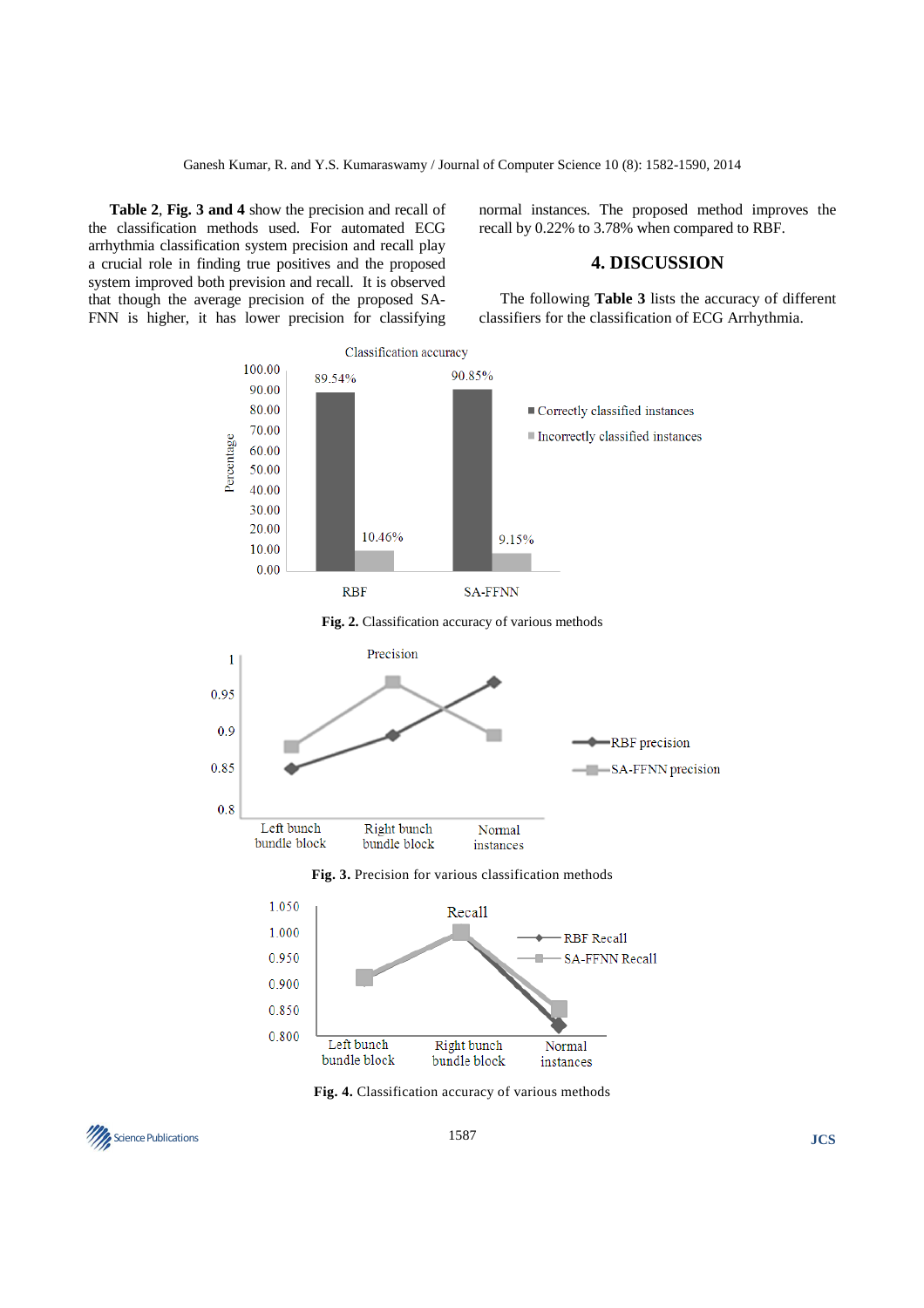**Table 2**, **Fig. 3 and 4** show the precision and recall of the classification methods used. For automated ECG arrhythmia classification system precision and recall play a crucial role in finding true positives and the proposed system improved both prevision and recall. It is observed that though the average precision of the proposed SA-FNN is higher, it has lower precision for classifying

normal instances. The proposed method improves the recall by 0.22% to 3.78% when compared to RBF.

# **4. DISCUSSION**

The following **Table 3** lists the accuracy of different classifiers for the classification of ECG Arrhythmia.







**Fig. 3.** Precision for various classification methods



**Fig. 4.** Classification accuracy of various methods

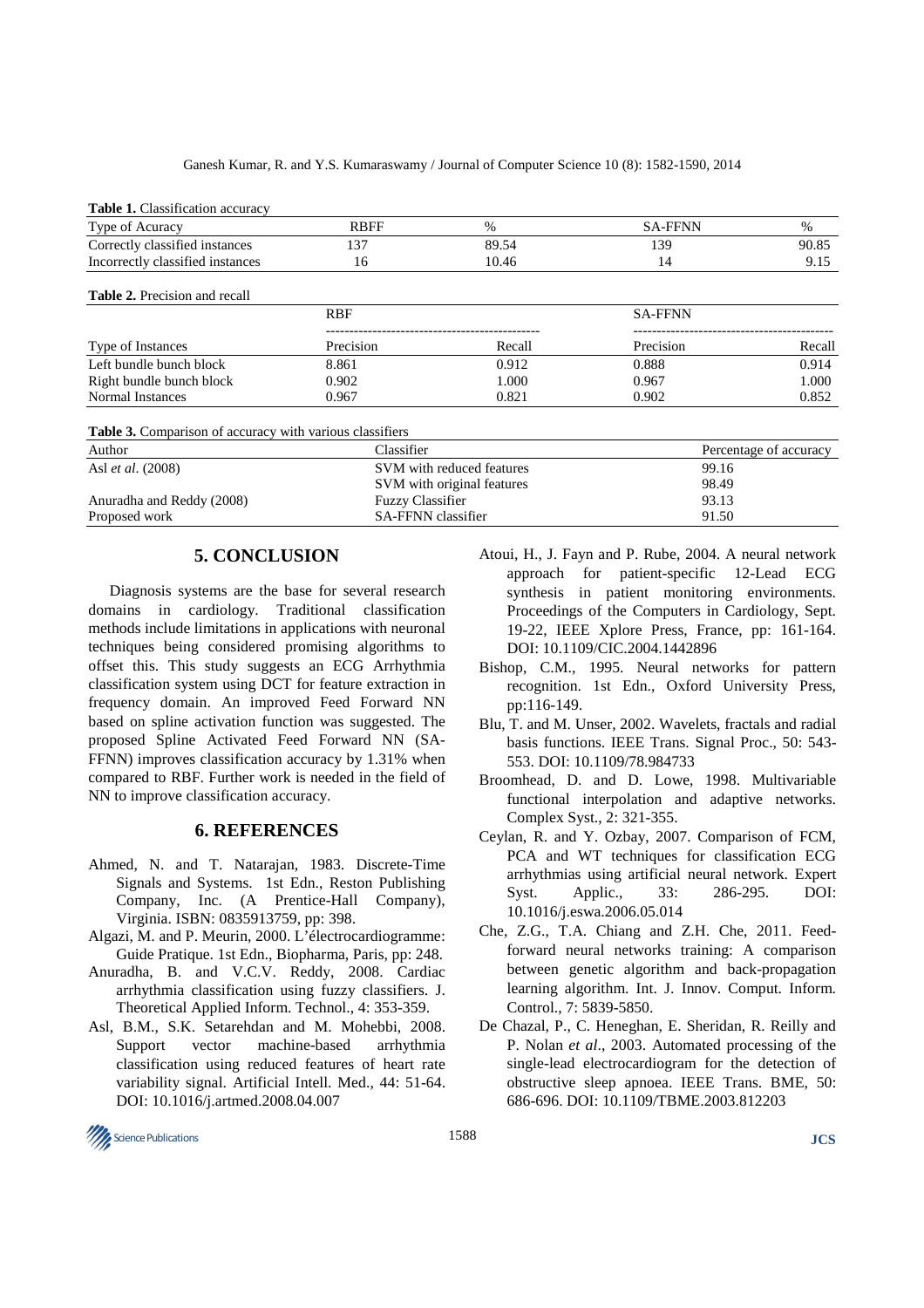| Type of Acuracy                                                 | <b>RBFF</b> | $\%$                             | <b>SA-FFNN</b>         | %      |
|-----------------------------------------------------------------|-------------|----------------------------------|------------------------|--------|
| Correctly classified instances                                  | 137         | 89.54                            | 139                    | 90.85  |
| Incorrectly classified instances                                | 16          | 10.46                            | 14                     | 9.15   |
| <b>Table 2.</b> Precision and recall                            |             |                                  |                        |        |
|                                                                 | <b>RBF</b>  |                                  | <b>SA-FFNN</b>         |        |
| Type of Instances                                               | Precision   | Recall                           | Precision              | Recall |
| Left bundle bunch block                                         | 8.861       | 0.912                            | 0.888                  | 0.914  |
| Right bundle bunch block                                        | 0.902       | 1.000                            | 0.967                  | 1.000  |
| Normal Instances                                                | 0.967       | 0.821                            | 0.902                  | 0.852  |
| <b>Table 3.</b> Comparison of accuracy with various classifiers |             |                                  |                        |        |
| Author                                                          | Classifier  |                                  | Percentage of accuracy |        |
| A al at al $(2008)$                                             |             | <b>CVM</b> with reduced features | 0016                   |        |

| Asl <i>et al.</i> (2008)  | SVM with reduced features  | 99.16 |
|---------------------------|----------------------------|-------|
|                           | SVM with original features | 98.49 |
| Anuradha and Reddy (2008) | <b>Fuzzy Classifier</b>    | 93.13 |
| Proposed work             | <b>SA-FFNN</b> classifier  | 91.50 |

## **5. CONCLUSION**

Diagnosis systems are the base for several research domains in cardiology. Traditional classification methods include limitations in applications with neuronal techniques being considered promising algorithms to offset this. This study suggests an ECG Arrhythmia classification system using DCT for feature extraction in frequency domain. An improved Feed Forward NN based on spline activation function was suggested. The proposed Spline Activated Feed Forward NN (SA-FFNN) improves classification accuracy by 1.31% when compared to RBF. Further work is needed in the field of NN to improve classification accuracy.

### **6. REFERENCES**

- Ahmed, N. and T. Natarajan, 1983. Discrete-Time Signals and Systems. 1st Edn., Reston Publishing Company, Inc. (A Prentice-Hall Company), Virginia. ISBN: 0835913759, pp: 398.
- Algazi, M. and P. Meurin, 2000. L'électrocardiogramme: Guide Pratique. 1st Edn., Biopharma, Paris, pp: 248.
- Anuradha, B. and V.C.V. Reddy, 2008. Cardiac arrhythmia classification using fuzzy classifiers. J. Theoretical Applied Inform. Technol., 4: 353-359.
- Asl, B.M., S.K. Setarehdan and M. Mohebbi, 2008. Support vector machine-based arrhythmia classification using reduced features of heart rate variability signal. Artificial Intell. Med., 44: 51-64. DOI: 10.1016/j.artmed.2008.04.007
- Atoui, H., J. Fayn and P. Rube, 2004. A neural network approach for patient-specific 12-Lead ECG synthesis in patient monitoring environments. Proceedings of the Computers in Cardiology, Sept. 19-22, IEEE Xplore Press, France, pp: 161-164. DOI: 10.1109/CIC.2004.1442896
- Bishop, C.M., 1995. Neural networks for pattern recognition. 1st Edn., Oxford University Press, pp:116-149.
- Blu, T. and M. Unser, 2002. Wavelets, fractals and radial basis functions. IEEE Trans. Signal Proc., 50: 543- 553. DOI: 10.1109/78.984733
- Broomhead, D. and D. Lowe, 1998. Multivariable functional interpolation and adaptive networks. Complex Syst., 2: 321-355.
- Ceylan, R. and Y. Ozbay, 2007. Comparison of FCM, PCA and WT techniques for classification ECG arrhythmias using artificial neural network. Expert Syst. Applic., 33: 286-295. DOI: 10.1016/j.eswa.2006.05.014
- Che, Z.G., T.A. Chiang and Z.H. Che, 2011. Feedforward neural networks training: A comparison between genetic algorithm and back-propagation learning algorithm. Int. J. Innov. Comput. Inform. Control., 7: 5839-5850.
- De Chazal, P., C. Heneghan, E. Sheridan, R. Reilly and P. Nolan *et al*., 2003. Automated processing of the single-lead electrocardiogram for the detection of obstructive sleep apnoea. IEEE Trans. BME, 50: 686-696. DOI: 10.1109/TBME.2003.812203

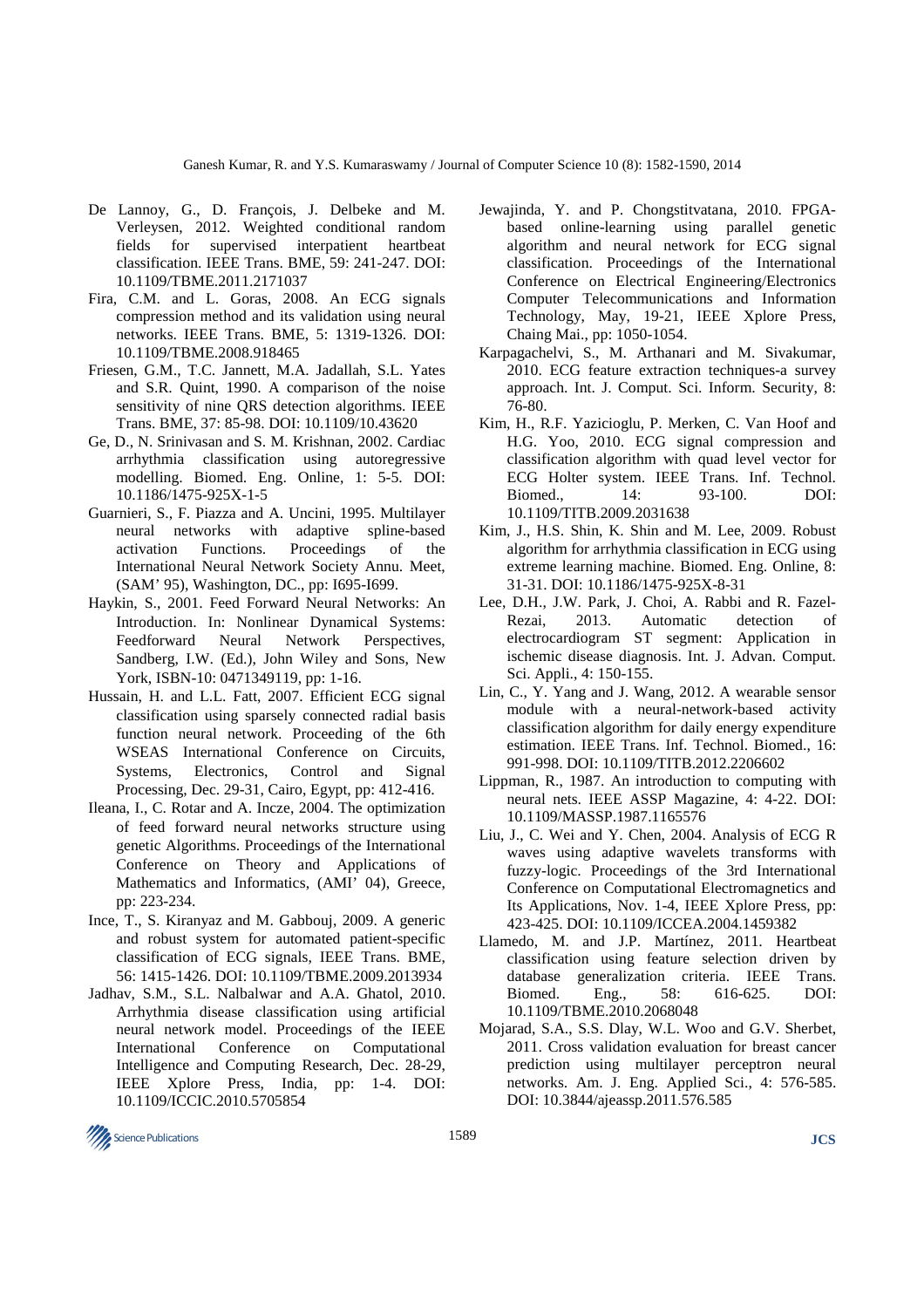- De Lannoy, G., D. François, J. Delbeke and M. Verleysen, 2012. Weighted conditional random fields for supervised interpatient heartbeat classification. IEEE Trans. BME, 59: 241-247. DOI: 10.1109/TBME.2011.2171037
- Fira, C.M. and L. Goras, 2008. An ECG signals compression method and its validation using neural networks. IEEE Trans. BME, 5: 1319-1326. DOI: 10.1109/TBME.2008.918465
- Friesen, G.M., T.C. Jannett, M.A. Jadallah, S.L. Yates and S.R. Quint, 1990. A comparison of the noise sensitivity of nine QRS detection algorithms. IEEE Trans. BME, 37: 85-98. DOI: 10.1109/10.43620
- Ge, D., N. Srinivasan and S. M. Krishnan, 2002. Cardiac arrhythmia classification using autoregressive modelling. Biomed. Eng. Online, 1: 5-5. DOI: 10.1186/1475-925X-1-5
- Guarnieri, S., F. Piazza and A. Uncini, 1995. Multilayer neural networks with adaptive spline-based activation Functions. Proceedings of the International Neural Network Society Annu. Meet, (SAM' 95), Washington, DC., pp: I695-I699.
- Haykin, S., 2001. Feed Forward Neural Networks: An Introduction. In: Nonlinear Dynamical Systems: Feedforward Neural Network Perspectives, Sandberg, I.W. (Ed.), John Wiley and Sons, New York, ISBN-10: 0471349119, pp: 1-16.
- Hussain, H. and L.L. Fatt, 2007. Efficient ECG signal classification using sparsely connected radial basis function neural network. Proceeding of the 6th WSEAS International Conference on Circuits, Systems, Electronics, Control and Signal Processing, Dec. 29-31, Cairo, Egypt, pp: 412-416.
- Ileana, I., C. Rotar and A. Incze, 2004. The optimization of feed forward neural networks structure using genetic Algorithms. Proceedings of the International Conference on Theory and Applications of Mathematics and Informatics, (AMI' 04), Greece, pp: 223-234.
- Ince, T., S. Kiranyaz and M. Gabbouj, 2009. A generic and robust system for automated patient-specific classification of ECG signals, IEEE Trans. BME, 56: 1415-1426. DOI: 10.1109/TBME.2009.2013934
- Jadhav, S.M., S.L. Nalbalwar and A.A. Ghatol, 2010. Arrhythmia disease classification using artificial neural network model. Proceedings of the IEEE International Conference on Computational Intelligence and Computing Research, Dec. 28-29, IEEE Xplore Press, India, pp: 1-4. DOI: 10.1109/ICCIC.2010.5705854
- Jewajinda, Y. and P. Chongstitvatana, 2010. FPGAbased online-learning using parallel genetic algorithm and neural network for ECG signal classification. Proceedings of the International Conference on Electrical Engineering/Electronics Computer Telecommunications and Information Technology, May, 19-21, IEEE Xplore Press, Chaing Mai., pp: 1050-1054.
- Karpagachelvi, S., M. Arthanari and M. Sivakumar, 2010. ECG feature extraction techniques-a survey approach. Int. J. Comput. Sci. Inform. Security, 8: 76-80.
- Kim, H., R.F. Yazicioglu, P. Merken, C. Van Hoof and H.G. Yoo, 2010. ECG signal compression and classification algorithm with quad level vector for ECG Holter system. IEEE Trans. Inf. Technol. Biomed., 14: 93-100. DOI: 10.1109/TITB.2009.2031638
- Kim, J., H.S. Shin, K. Shin and M. Lee, 2009. Robust algorithm for arrhythmia classification in ECG using extreme learning machine. Biomed. Eng. Online, 8: 31-31. DOI: 10.1186/1475-925X-8-31
- Lee, D.H., J.W. Park, J. Choi, A. Rabbi and R. Fazel-Rezai, 2013. Automatic detection of electrocardiogram ST segment: Application in ischemic disease diagnosis. Int. J. Advan. Comput. Sci. Appli., 4: 150-155.
- Lin, C., Y. Yang and J. Wang, 2012. A wearable sensor module with a neural-network-based activity classification algorithm for daily energy expenditure estimation. IEEE Trans. Inf. Technol. Biomed., 16: 991-998. DOI: 10.1109/TITB.2012.2206602
- Lippman, R., 1987. An introduction to computing with neural nets. IEEE ASSP Magazine, 4: 4-22. DOI: 10.1109/MASSP.1987.1165576
- Liu, J., C. Wei and Y. Chen, 2004. Analysis of ECG R waves using adaptive wavelets transforms with fuzzy-logic. Proceedings of the 3rd International Conference on Computational Electromagnetics and Its Applications, Nov. 1-4, IEEE Xplore Press, pp: 423-425. DOI: 10.1109/ICCEA.2004.1459382
- Llamedo, M. and J.P. Martínez, 2011. Heartbeat classification using feature selection driven by database generalization criteria. IEEE Trans. Biomed. Eng., 58: 616-625. DOI: 10.1109/TBME.2010.2068048
- Mojarad, S.A., S.S. Dlay, W.L. Woo and G.V. Sherbet, 2011. Cross validation evaluation for breast cancer prediction using multilayer perceptron neural networks. Am. J. Eng. Applied Sci., 4: 576-585. DOI: 10.3844/ajeassp.2011.576.585